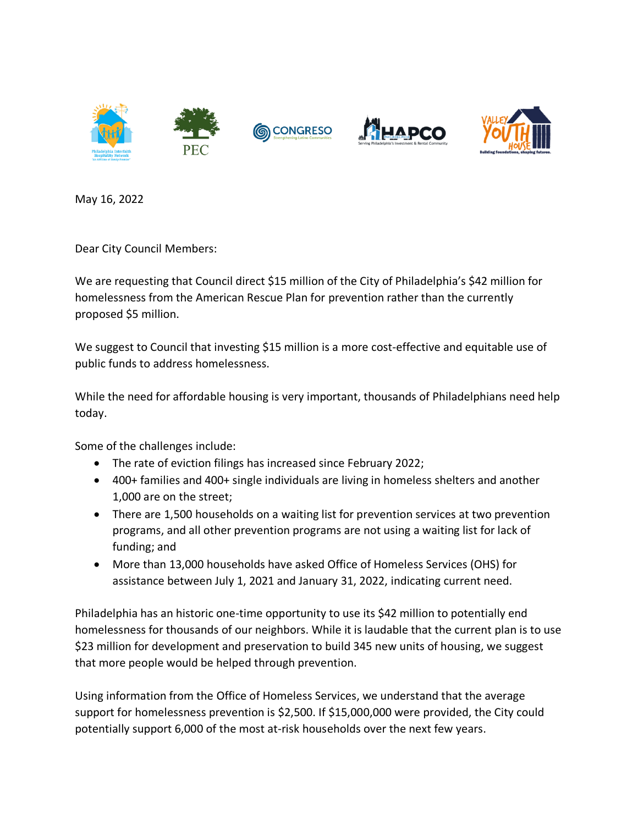

May 16, 2022

Dear City Council Members:

We are requesting that Council direct \$15 million of the City of Philadelphia's \$42 million for homelessness from the American Rescue Plan for prevention rather than the currently proposed \$5 million.

We suggest to Council that investing \$15 million is a more cost-effective and equitable use of public funds to address homelessness.

While the need for affordable housing is very important, thousands of Philadelphians need help today.

Some of the challenges include:

- The rate of eviction filings has increased since February 2022;
- 400+ families and 400+ single individuals are living in homeless shelters and another 1,000 are on the street;
- There are 1,500 households on a waiting list for prevention services at two prevention programs, and all other prevention programs are not using a waiting list for lack of funding; and
- More than 13,000 households have asked Office of Homeless Services (OHS) for assistance between July 1, 2021 and January 31, 2022, indicating current need.

Philadelphia has an historic one-time opportunity to use its \$42 million to potentially end homelessness for thousands of our neighbors. While it is laudable that the current plan is to use \$23 million for development and preservation to build 345 new units of housing, we suggest that more people would be helped through prevention.

Using information from the Office of Homeless Services, we understand that the average support for homelessness prevention is \$2,500. If \$15,000,000 were provided, the City could potentially support 6,000 of the most at-risk households over the next few years.